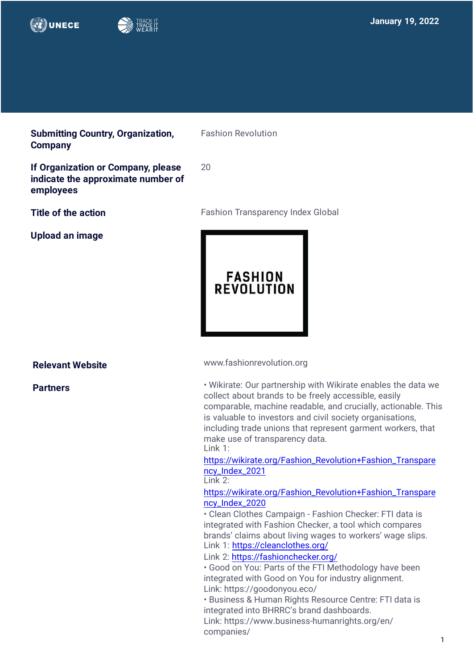

**Submitting Country, Organization, Company**

**If Organization or Company, please indicate the approximate number of employees** 

**Upload an image**

Fashion Revolution

20

**Title of the action Fashion Transparency Index Global** 



**Relevant Website** 

**Partners**

[www.fashionrevolution.org](http://www.fashionrevolution.org)

• Wikirate: Our partnership with Wikirate enables the data we collect about brands to be freely accessible, easily comparable, machine readable, and crucially, actionable. This is valuable to investors and civil society organisations, including trade unions that represent garment workers, that make use of transparency data. Link 1:

[https://wikirate.org/Fashion\\_Revolution+Fashion\\_Transpare](https://wikirate.org/Fashion_Revolution+Fashion_Transpare) ncy\_Index\_2021

Link 2:

[https://wikirate.org/Fashion\\_Revolution+Fashion\\_Transpare](https://wikirate.org/Fashion_Revolution+Fashion_Transpare) ncy\_Index\_2020

• Clean Clothes Campaign - Fashion Checker: FTI data is integrated with Fashion Checker, a tool which compares [brands' claims about living wages to workers'](https://wikirate.org/Fashion_Revolution+Fashion_Transparency_Index_2021) wage slips. Link 1: <https://cleanclothes.org/>

Link 2: <https://fashionchecker.org/>

• [Good on You: Parts of the FTI](https://wikirate.org/Fashion_Revolution+Fashion_Transparency_Index_2020;) Methodology have been integrated with Good on You for industry alignment. Link: h[ttps://goodonyou.eco/](https://goodonyou.eco/)

• Business & Human Rights Resource Centre: FTI data is integrated into BHRRC's brand dashboards. Link: h[ttps://www.business-humanrights.org/en/](https://www.business-humanrights.org/en/) companies/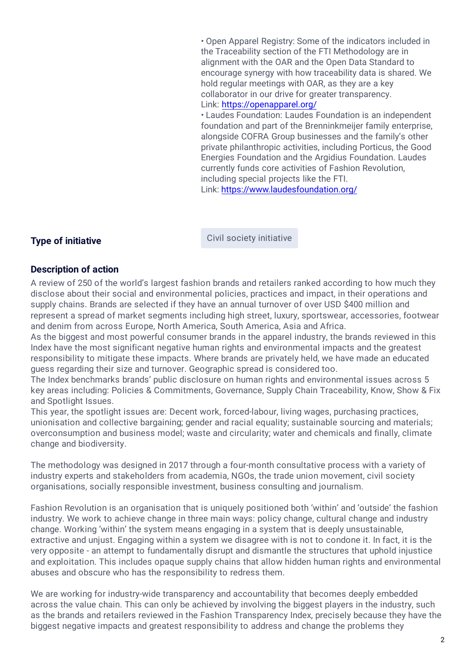• Open Apparel Registry: So[me of the indicators includ](https://goodonyou.eco/)ed in the Traceability section of the FTI Methodology are in [alignment with the OAR and](https://www.business-humanrights.org/en/companies/) the Open Data Standard to encourage synergy with how traceability data is shared. We hold regular meetings with OAR, as they are a key collaborator in our drive for greater transparency. Link: <https://openapparel.org/>

• Laudes Foundation: Laudes Foundation is an independent foundation and part of the Brenninkmeijer family enterprise, alongside COFRA Group businesses and the family's other private philanthropic activities, including Porticus, the Good Energies Foundation and the Argidius Foundation. Laudes currently funds core activities of Fashion Revolution, including special projects like the FTI. Link: <https://www.laudesfoundation.org/>

**Type of initiative Civil society initiative** 

### **Description of action**

A review of 250 of the world's largest fashion brands and retailers ranked according to how much they disclose about their social and environmental policies, practices and impact, in their operations and supply chains. Brands are selected if they have an annual turnover of over USD \$400 million and represent a spread of market segments including high street, luxury, sportswear, accessories, footwear and denim from across Europe, North America, South America, Asia and Africa.

As the biggest and most powerful consumer brands in the apparel industry, the brands reviewed in this Index have the most significant negative human rights and environmental impacts and the greatest responsibility to mitigate these impacts. Where brands are privately held, we have made an educated guess regarding their size and turnover. Geographic spread is considered too.

The Index benchmarks brands' public disclosure on human rights and environmental issues across 5 key areas including: Policies & Commitments, Governance, Supply Chain Traceability, Know, Show & Fix and Spotlight Issues.

This year, the spotlight issues are: Decent work, forced-labour, living wages, purchasing practices, unionisation and collective bargaining; gender and racial equality; sustainable sourcing and materials; overconsumption and business model; waste and circularity; water and chemicals and finally, climate change and biodiversity.

The methodology was designed in 2017 through a four-month consultative process with a variety of industry experts and stakeholders from academia, NGOs, the trade union movement, civil society organisations, socially responsible investment, business consulting and journalism.

Fashion Revolution is an organisation that is uniquely positioned both 'within' and 'outside' the fashion industry. We work to achieve change in three main ways: policy change, cultural change and industry change. Working 'within' the system means engaging in a system that is deeply unsustainable, extractive and unjust. Engaging within a system we disagree with is not to condone it. In fact, it is the very opposite - an attempt to fundamentally disrupt and dismantle the structures that uphold injustice and exploitation. This includes opaque supply chains that allow hidden human rights and environmental abuses and obscure who has the responsibility to redress them.

We are working for industry-wide transparency and accountability that becomes deeply embedded across the value chain. This can only be achieved by involving the biggest players in the industry, such as the brands and retailers reviewed in the Fashion Transparency Index, precisely because they have the biggest negative impacts and greatest responsibility to address and change the problems they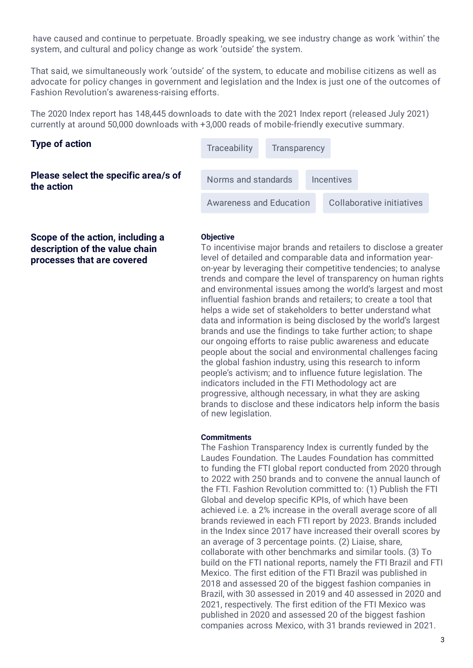have caused and continue to perpetuate. Broadly speaking, we see industry change as work 'within' the system, and cultural and policy change as work 'outside' the system.

That said, we simultaneously work 'outside' of the system, to educate and mobilise citizens as well as advocate for policy changes in government and legislation and the Index is just one of the outcomes of Fashion Revolution's awareness-raising efforts.

The 2020 Index report has 148,445 downloads to date with the 2021 Index report (released July 2021) currently at around 50,000 downloads with +3,000 reads of mobile-friendly executive summary.

| <b>Type of action</b><br>Please select the specific area/s of<br>the action | <b>Traceability</b>            | Transparency |                   |                           |  |  |
|-----------------------------------------------------------------------------|--------------------------------|--------------|-------------------|---------------------------|--|--|
|                                                                             | Norms and standards            |              | <b>Incentives</b> |                           |  |  |
|                                                                             | <b>Awareness and Education</b> |              |                   | Collaborative initiatives |  |  |

**Scope of the action, including a description of the value chain processes that are covered**

#### **Objective**

To incentivise major brands and retailers to disclose a greater level of detailed and comparable data and information yearon-year by leveraging their competitive tendencies; to analyse trends and compare the level of transparency on human rights and environmental issues among the world's largest and most influential fashion brands and retailers; to create a tool that helps a wide set of stakeholders to better understand what data and information is being disclosed by the world's largest brands and use the findings to take further action; to shape our ongoing efforts to raise public awareness and educate people about the social and environmental challenges facing the global fashion industry, using this research to inform people's activism; and to influence future legislation. The indicators included in the FTI Methodology act are progressive, although necessary, in what they are asking brands to disclose and these indicators help inform the basis of new legislation.

#### **Commitments**

The Fashion Transparency Index is currently funded by the Laudes Foundation. The Laudes Foundation has committed to funding the FTI global report conducted from 2020 through to 2022 with 250 brands and to convene the annual launch of the FTI. Fashion Revolution committed to: (1) Publish the FTI Global and develop specific KPIs, of which have been achieved i.e. a 2% increase in the overall average score of all brands reviewed in each FTI report by 2023. Brands included in the Index since 2017 have increased their overall scores by an average of 3 percentage points. (2) Liaise, share, collaborate with other benchmarks and similar tools. (3) To build on the FTI national reports, namely the FTI Brazil and FTI Mexico. The first edition of the FTI Brazil was published in 2018 and assessed 20 of the biggest fashion companies in Brazil, with 30 assessed in 2019 and 40 assessed in 2020 and 2021, respectively. The first edition of the FTI Mexico was published in 2020 and assessed 20 of the biggest fashion companies across Mexico, with 31 brands reviewed in 2021.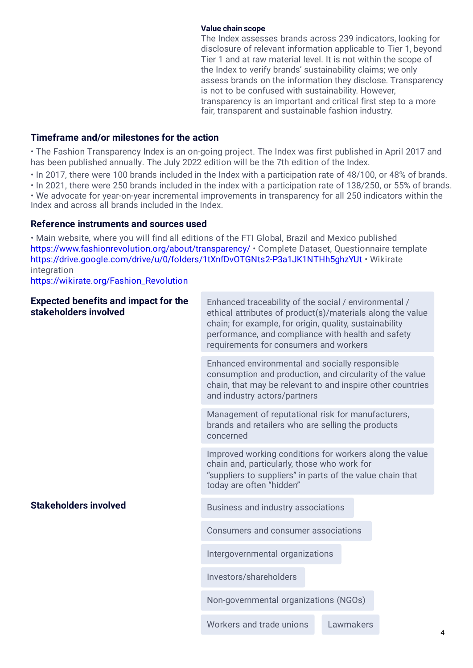#### **Value chain scope**

The Index assesses brands across 239 indicators, looking for disclosure of relevant information applicable to Tier 1, beyond Tier 1 and at raw material level. It is not within the scope of the Index to verify brands' sustainability claims; we only assess brands on the information they disclose. Transparency is not to be confused with sustainability. However, transparency is an important and critical first step to a more fair, transparent and sustainable fashion industry.

# **Timeframe and/or milestones for the action**

• The Fashion Transparency Index is an on-going project. The Index was first published in April 2017 and has been published annually. The July 2022 edition will be the 7th edition of the Index.

• In 2017, there were 100 brands included in the Index with a participation rate of 48/100, or 48% of brands.

• In 2021, there were 250 brands included in the index with a participation rate of 138/250, or 55% of brands. • We advocate for year-on-year incremental improvements in transparency for all 250 indicators within the Index and across all brands included in the Index.

#### **Reference instruments and sources used**

• Main website, where you will find all editions of the FTI Global, Brazil and Mexico published [https://www.fashionrevolution.org/about/transparency/ • C](https://www.fashionrevolution.org/about/transparency/)omplete Dataset, Questionnaire template [https://drive.google.com/drive/u/0/folders/1tXnfDvOTGNts2-P3a1JK1NTHh5ghzYUt • W](https://drive.google.com/drive/u/0/folders/1tXnfDvOTGNts2-P3a1JK1NTHh5ghzYUt)ikirate integration

[https://wikirate.org/Fashion\\_Revolution](https://wikirate.org/Fashion_Revolution)

| <b>Expected benefits and impact for the</b><br>stakeholders involved | Enhanced traceability of the social / environmental /<br>ethical attributes of product(s)/materials along the value<br>chain; for example, for origin, quality, sustainability<br>performance, and compliance with health and safety<br>requirements for consumers and workers |           |  |  |  |
|----------------------------------------------------------------------|--------------------------------------------------------------------------------------------------------------------------------------------------------------------------------------------------------------------------------------------------------------------------------|-----------|--|--|--|
|                                                                      | Enhanced environmental and socially responsible<br>consumption and production, and circularity of the value<br>chain, that may be relevant to and inspire other countries<br>and industry actors/partners                                                                      |           |  |  |  |
|                                                                      | Management of reputational risk for manufacturers,<br>brands and retailers who are selling the products<br>concerned                                                                                                                                                           |           |  |  |  |
|                                                                      | Improved working conditions for workers along the value<br>chain and, particularly, those who work for<br>"suppliers to suppliers" in parts of the value chain that<br>today are often "hidden"                                                                                |           |  |  |  |
| <b>Stakeholders involved</b>                                         | Business and industry associations                                                                                                                                                                                                                                             |           |  |  |  |
|                                                                      | Consumers and consumer associations                                                                                                                                                                                                                                            |           |  |  |  |
|                                                                      | Intergovernmental organizations                                                                                                                                                                                                                                                |           |  |  |  |
|                                                                      | Investors/shareholders                                                                                                                                                                                                                                                         |           |  |  |  |
|                                                                      | Non-governmental organizations (NGOs)                                                                                                                                                                                                                                          |           |  |  |  |
|                                                                      | Workers and trade unions                                                                                                                                                                                                                                                       | Lawmakers |  |  |  |